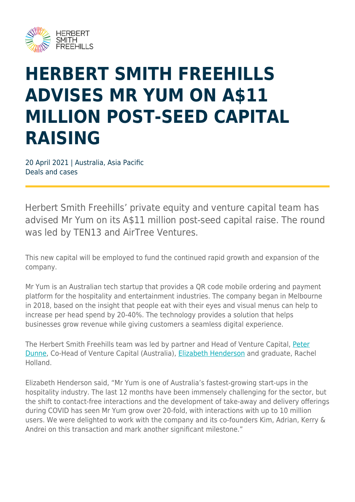

## **HERBERT SMITH FREEHILLS ADVISES MR YUM ON A\$11 MILLION POST-SEED CAPITAL RAISING**

20 April 2021 | Australia, Asia Pacific Deals and cases

Herbert Smith Freehills' private equity and venture capital team has advised Mr Yum on its A\$11 million post-seed capital raise. The round was led by TEN13 and AirTree Ventures.

This new capital will be employed to fund the continued rapid growth and expansion of the company.

Mr Yum is an Australian tech startup that provides a QR code mobile ordering and payment platform for the hospitality and entertainment industries. The company began in Melbourne in 2018, based on the insight that people eat with their eyes and visual menus can help to increase per head spend by 20-40%. The technology provides a solution that helps businesses grow revenue while giving customers a seamless digital experience.

The Herbert Smith Freehills team was led by partner and Head of Venture Capital, [Peter](https://www.herbertsmithfreehills.com/our-people/peter-dunne) [Dunne](https://www.herbertsmithfreehills.com/our-people/peter-dunne), Co-Head of Venture Capital (Australia), [Elizabeth Henderson](https://www.herbertsmithfreehills.com/our-people/elizabeth-henderson) and graduate, Rachel Holland.

Elizabeth Henderson said, "Mr Yum is one of Australia's fastest-growing start-ups in the hospitality industry. The last 12 months have been immensely challenging for the sector, but the shift to contact-free interactions and the development of take-away and delivery offerings during COVID has seen Mr Yum grow over 20-fold, with interactions with up to 10 million users. We were delighted to work with the company and its co-founders Kim, Adrian, Kerry & Andrei on this transaction and mark another significant milestone."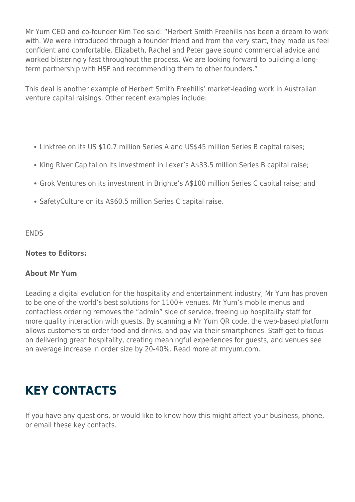Mr Yum CEO and co-founder Kim Teo said: "Herbert Smith Freehills has been a dream to work with. We were introduced through a founder friend and from the very start, they made us feel confident and comfortable. Elizabeth, Rachel and Peter gave sound commercial advice and worked blisteringly fast throughout the process. We are looking forward to building a longterm partnership with HSF and recommending them to other founders."

This deal is another example of Herbert Smith Freehills' market-leading work in Australian venture capital raisings. Other recent examples include:

- Linktree on its US \$10.7 million Series A and US\$45 million Series B capital raises;
- King River Capital on its investment in Lexer's A\$33.5 million Series B capital raise;
- Grok Ventures on its investment in Brighte's A\$100 million Series C capital raise; and
- SafetyCulture on its A\$60.5 million Series C capital raise.

**ENDS** 

## **Notes to Editors:**

## **About Mr Yum**

Leading a digital evolution for the hospitality and entertainment industry, Mr Yum has proven to be one of the world's best solutions for 1100+ venues. Mr Yum's mobile menus and contactless ordering removes the "admin" side of service, freeing up hospitality staff for more quality interaction with guests. By scanning a Mr Yum QR code, the web-based platform allows customers to order food and drinks, and pay via their smartphones. Staff get to focus on delivering great hospitality, creating meaningful experiences for guests, and venues see an average increase in order size by 20-40%. Read more at mryum.com.

## **KEY CONTACTS**

If you have any questions, or would like to know how this might affect your business, phone, or email these key contacts.